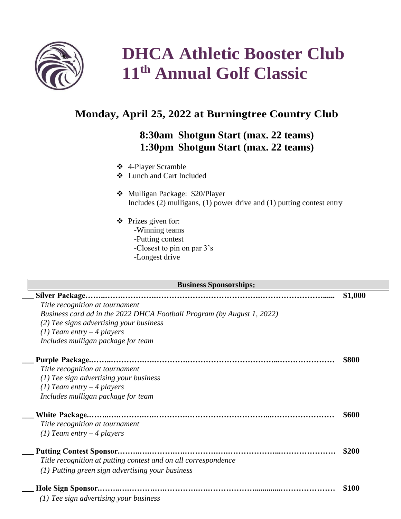

## **DHCA Athletic Booster Club 11 th Annual Golf Classic**

## **Monday, April 25, 2022 at Burningtree Country Club**

## **8:30am Shotgun Start (max. 22 teams) 1:30pm Shotgun Start (max. 22 teams)**

- ❖ 4-Player Scramble
- ❖ Lunch and Cart Included
- ❖ Mulligan Package: \$20/Player Includes (2) mulligans, (1) power drive and (1) putting contest entry
- ❖ Prizes given for: -Winning teams -Putting contest -Closest to pin on par 3's
	- -Longest drive

| <b>Business Sponsorships:</b> |                                                                                                                   |         |  |  |  |  |
|-------------------------------|-------------------------------------------------------------------------------------------------------------------|---------|--|--|--|--|
|                               | <b>Silver Package</b>                                                                                             | \$1,000 |  |  |  |  |
|                               | Title recognition at tournament                                                                                   |         |  |  |  |  |
|                               | Business card ad in the 2022 DHCA Football Program (by August 1, 2022)<br>(2) Tee signs advertising your business |         |  |  |  |  |
|                               | (1) Team entry $-4$ players                                                                                       |         |  |  |  |  |
|                               | Includes mulligan package for team                                                                                |         |  |  |  |  |
|                               |                                                                                                                   |         |  |  |  |  |
|                               |                                                                                                                   | \$800   |  |  |  |  |
|                               | Title recognition at tournament                                                                                   |         |  |  |  |  |
|                               | $(1)$ Tee sign advertising your business                                                                          |         |  |  |  |  |
|                               | (1) Team entry $-4$ players                                                                                       |         |  |  |  |  |
|                               | Includes mulligan package for team                                                                                |         |  |  |  |  |
|                               |                                                                                                                   | \$600   |  |  |  |  |
|                               | Title recognition at tournament                                                                                   |         |  |  |  |  |
|                               | (1) Team entry $-4$ players                                                                                       |         |  |  |  |  |
|                               |                                                                                                                   |         |  |  |  |  |
|                               | <b>Putting Contest Sponsor</b>                                                                                    | \$200   |  |  |  |  |
|                               | Title recognition at putting contest and on all correspondence                                                    |         |  |  |  |  |
|                               | $(1)$ Putting green sign advertising your business                                                                |         |  |  |  |  |
|                               |                                                                                                                   |         |  |  |  |  |
|                               |                                                                                                                   | \$100   |  |  |  |  |
|                               | (1) Tee sign advertising your business                                                                            |         |  |  |  |  |